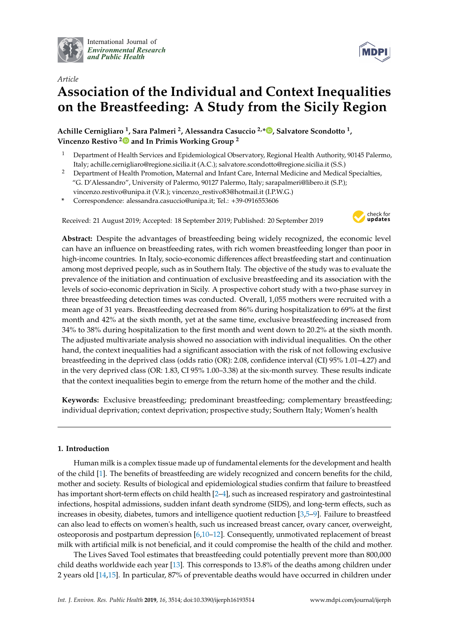

*Article*

International Journal of *[Environmental Research](http://www.mdpi.com/journal/ijerph) and Public Health*



# **Association of the Individual and Context Inequalities on the Breastfeeding: A Study from the Sicily Region**

**Achille Cernigliaro <sup>1</sup> , Sara Palmeri <sup>2</sup> , Alessandra Casuccio 2,\* [,](https://orcid.org/0000-0002-5676-9535) Salvatore Scondotto <sup>1</sup> , Vincenzo Restivo [2](https://orcid.org/0000-0002-5406-884X) and In Primis Working Group <sup>2</sup>**

- <sup>1</sup> Department of Health Services and Epidemiological Observatory, Regional Health Authority, 90145 Palermo, Italy; achille.cernigliaro@regione.sicilia.it (A.C.); salvatore.scondotto@regione.sicilia.it (S.S.)
- <sup>2</sup> Department of Health Promotion, Maternal and Infant Care, Internal Medicine and Medical Specialties, "G. D'Alessandro", University of Palermo, 90127 Palermo, Italy; sarapalmeri@libero.it (S.P.); vincenzo.restivo@unipa.it (V.R.); vincenzo\_restivo83@hotmail.it (I.P.W.G.)
- **\*** Correspondence: alessandra.casuccio@unipa.it; Tel.: +39-0916553606

Received: 21 August 2019; Accepted: 18 September 2019; Published: 20 September 2019



**Abstract:** Despite the advantages of breastfeeding being widely recognized, the economic level can have an influence on breastfeeding rates, with rich women breastfeeding longer than poor in high-income countries. In Italy, socio-economic differences affect breastfeeding start and continuation among most deprived people, such as in Southern Italy. The objective of the study was to evaluate the prevalence of the initiation and continuation of exclusive breastfeeding and its association with the levels of socio-economic deprivation in Sicily. A prospective cohort study with a two-phase survey in three breastfeeding detection times was conducted. Overall, 1,055 mothers were recruited with a mean age of 31 years. Breastfeeding decreased from 86% during hospitalization to 69% at the first month and 42% at the sixth month, yet at the same time, exclusive breastfeeding increased from 34% to 38% during hospitalization to the first month and went down to 20.2% at the sixth month. The adjusted multivariate analysis showed no association with individual inequalities. On the other hand, the context inequalities had a significant association with the risk of not following exclusive breastfeeding in the deprived class (odds ratio (OR): 2.08, confidence interval (CI) 95% 1.01–4.27) and in the very deprived class (OR: 1.83, CI 95% 1.00–3.38) at the six-month survey. These results indicate that the context inequalities begin to emerge from the return home of the mother and the child.

**Keywords:** Exclusive breastfeeding; predominant breastfeeding; complementary breastfeeding; individual deprivation; context deprivation; prospective study; Southern Italy; Women's health

# **1. Introduction**

Human milk is a complex tissue made up of fundamental elements for the development and health of the child [\[1\]](#page-8-0). The benefits of breastfeeding are widely recognized and concern benefits for the child, mother and society. Results of biological and epidemiological studies confirm that failure to breastfeed has important short-term effects on child health [\[2–](#page-8-1)[4\]](#page-8-2), such as increased respiratory and gastrointestinal infections, hospital admissions, sudden infant death syndrome (SIDS), and long-term effects, such as increases in obesity, diabetes, tumors and intelligence quotient reduction [\[3,](#page-8-3)[5](#page-8-4)[–9\]](#page-8-5). Failure to breastfeed can also lead to effects on women's health, such us increased breast cancer, ovary cancer, overweight, osteoporosis and postpartum depression [\[6,](#page-8-6)[10–](#page-8-7)[12\]](#page-8-8). Consequently, unmotivated replacement of breast milk with artificial milk is not beneficial, and it could compromise the health of the child and mother.

The Lives Saved Tool estimates that breastfeeding could potentially prevent more than 800,000 child deaths worldwide each year [\[13\]](#page-8-9). This corresponds to 13.8% of the deaths among children under 2 years old [\[14](#page-8-10)[,15\]](#page-8-11). In particular, 87% of preventable deaths would have occurred in children under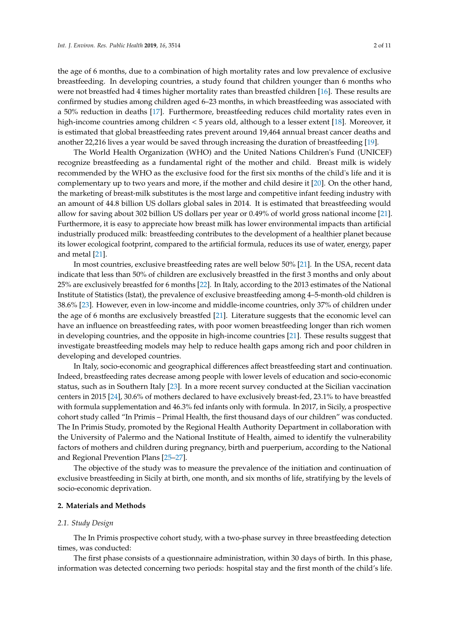the age of 6 months, due to a combination of high mortality rates and low prevalence of exclusive breastfeeding. In developing countries, a study found that children younger than 6 months who were not breastfed had 4 times higher mortality rates than breastfed children [\[16\]](#page-8-12). These results are confirmed by studies among children aged 6–23 months, in which breastfeeding was associated with a 50% reduction in deaths [\[17\]](#page-8-13). Furthermore, breastfeeding reduces child mortality rates even in high-income countries among children < 5 years old, although to a lesser extent [\[18\]](#page-8-14). Moreover, it is estimated that global breastfeeding rates prevent around 19,464 annual breast cancer deaths and another 22,216 lives a year would be saved through increasing the duration of breastfeeding [\[19\]](#page-8-15).

The World Health Organization (WHO) and the United Nations Children's Fund (UNICEF) recognize breastfeeding as a fundamental right of the mother and child. Breast milk is widely recommended by the WHO as the exclusive food for the first six months of the child's life and it is complementary up to two years and more, if the mother and child desire it [\[20\]](#page-9-0). On the other hand, the marketing of breast-milk substitutes is the most large and competitive infant feeding industry with an amount of 44.8 billion US dollars global sales in 2014. It is estimated that breastfeeding would allow for saving about 302 billion US dollars per year or 0.49% of world gross national income [\[21\]](#page-9-1). Furthermore, it is easy to appreciate how breast milk has lower environmental impacts than artificial industrially produced milk: breastfeeding contributes to the development of a healthier planet because its lower ecological footprint, compared to the artificial formula, reduces its use of water, energy, paper and metal [\[21\]](#page-9-1).

In most countries, exclusive breastfeeding rates are well below 50% [\[21\]](#page-9-1). In the USA, recent data indicate that less than 50% of children are exclusively breastfed in the first 3 months and only about 25% are exclusively breastfed for 6 months [\[22\]](#page-9-2). In Italy, according to the 2013 estimates of the National Institute of Statistics (Istat), the prevalence of exclusive breastfeeding among 4–5-month-old children is 38.6% [\[23\]](#page-9-3). However, even in low-income and middle-income countries, only 37% of children under the age of 6 months are exclusively breastfed [\[21\]](#page-9-1). Literature suggests that the economic level can have an influence on breastfeeding rates, with poor women breastfeeding longer than rich women in developing countries, and the opposite in high-income countries [\[21\]](#page-9-1). These results suggest that investigate breastfeeding models may help to reduce health gaps among rich and poor children in developing and developed countries.

In Italy, socio-economic and geographical differences affect breastfeeding start and continuation. Indeed, breastfeeding rates decrease among people with lower levels of education and socio-economic status, such as in Southern Italy [\[23\]](#page-9-3). In a more recent survey conducted at the Sicilian vaccination centers in 2015 [\[24\]](#page-9-4), 30.6% of mothers declared to have exclusively breast-fed, 23.1% to have breastfed with formula supplementation and 46.3% fed infants only with formula. In 2017, in Sicily, a prospective cohort study called "In Primis – Primal Health, the first thousand days of our children" was conducted. The In Primis Study, promoted by the Regional Health Authority Department in collaboration with the University of Palermo and the National Institute of Health, aimed to identify the vulnerability factors of mothers and children during pregnancy, birth and puerperium, according to the National and Regional Prevention Plans [\[25–](#page-9-5)[27\]](#page-9-6).

The objective of the study was to measure the prevalence of the initiation and continuation of exclusive breastfeeding in Sicily at birth, one month, and six months of life, stratifying by the levels of socio-economic deprivation.

## **2. Materials and Methods**

#### *2.1. Study Design*

The In Primis prospective cohort study, with a two-phase survey in three breastfeeding detection times, was conducted:

The first phase consists of a questionnaire administration, within 30 days of birth. In this phase, information was detected concerning two periods: hospital stay and the first month of the child's life.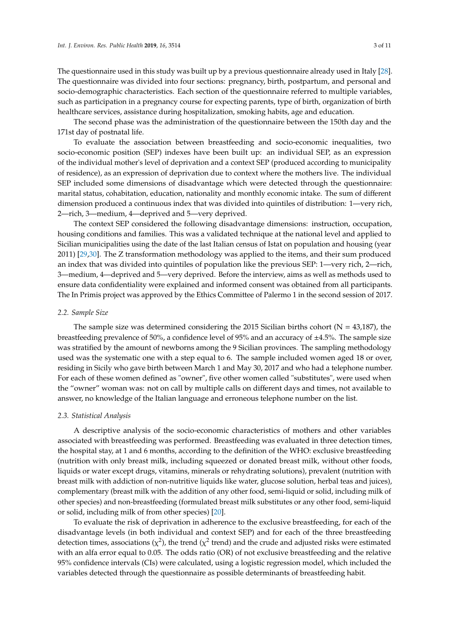The questionnaire used in this study was built up by a previous questionnaire already used in Italy [\[28\]](#page-9-7). The questionnaire was divided into four sections: pregnancy, birth, postpartum, and personal and socio-demographic characteristics. Each section of the questionnaire referred to multiple variables, such as participation in a pregnancy course for expecting parents, type of birth, organization of birth healthcare services, assistance during hospitalization, smoking habits, age and education.

The second phase was the administration of the questionnaire between the 150th day and the 171st day of postnatal life.

To evaluate the association between breastfeeding and socio-economic inequalities, two socio-economic position (SEP) indexes have been built up: an individual SEP, as an expression of the individual mother's level of deprivation and a context SEP (produced according to municipality of residence), as an expression of deprivation due to context where the mothers live. The individual SEP included some dimensions of disadvantage which were detected through the questionnaire: marital status, cohabitation, education, nationality and monthly economic intake. The sum of different dimension produced a continuous index that was divided into quintiles of distribution: 1—very rich, 2—rich, 3—medium, 4—deprived and 5—very deprived.

The context SEP considered the following disadvantage dimensions: instruction, occupation, housing conditions and families. This was a validated technique at the national level and applied to Sicilian municipalities using the date of the last Italian census of Istat on population and housing (year 2011) [\[29](#page-9-8)[,30\]](#page-9-9). The Z transformation methodology was applied to the items, and their sum produced an index that was divided into quintiles of population like the previous SEP: 1—very rich, 2—rich, 3—medium, 4—deprived and 5—very deprived. Before the interview, aims as well as methods used to ensure data confidentiality were explained and informed consent was obtained from all participants. The In Primis project was approved by the Ethics Committee of Palermo 1 in the second session of 2017.

### *2.2. Sample Size*

The sample size was determined considering the 2015 Sicilian births cohort ( $N = 43,187$ ), the breastfeeding prevalence of 50%, a confidence level of 95% and an accuracy of  $\pm 4.5$ %. The sample size was stratified by the amount of newborns among the 9 Sicilian provinces. The sampling methodology used was the systematic one with a step equal to 6. The sample included women aged 18 or over, residing in Sicily who gave birth between March 1 and May 30, 2017 and who had a telephone number. For each of these women defined as "owner", five other women called "substitutes", were used when the "owner" woman was: not on call by multiple calls on different days and times, not available to answer, no knowledge of the Italian language and erroneous telephone number on the list.

#### *2.3. Statistical Analysis*

A descriptive analysis of the socio-economic characteristics of mothers and other variables associated with breastfeeding was performed. Breastfeeding was evaluated in three detection times, the hospital stay, at 1 and 6 months, according to the definition of the WHO: exclusive breastfeeding (nutrition with only breast milk, including squeezed or donated breast milk, without other foods, liquids or water except drugs, vitamins, minerals or rehydrating solutions), prevalent (nutrition with breast milk with addiction of non-nutritive liquids like water, glucose solution, herbal teas and juices), complementary (breast milk with the addition of any other food, semi-liquid or solid, including milk of other species) and non-breastfeeding (formulated breast milk substitutes or any other food, semi-liquid or solid, including milk of from other species) [\[20\]](#page-9-0).

To evaluate the risk of deprivation in adherence to the exclusive breastfeeding, for each of the disadvantage levels (in both individual and context SEP) and for each of the three breastfeeding detection times, associations ( $\chi^2$ ), the trend ( $\chi^2$  trend) and the crude and adjusted risks were estimated with an alfa error equal to 0.05. The odds ratio (OR) of not exclusive breastfeeding and the relative 95% confidence intervals (CIs) were calculated, using a logistic regression model, which included the variables detected through the questionnaire as possible determinants of breastfeeding habit.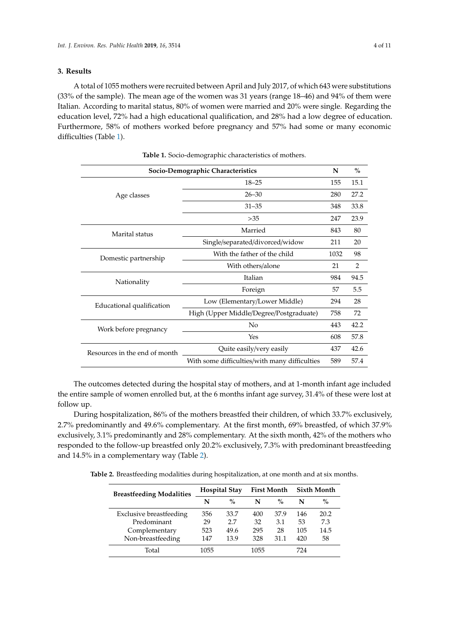## **3. Results**

A total of 1055 mothers were recruited between April and July 2017, of which 643 were substitutions (33% of the sample). The mean age of the women was 31 years (range 18–46) and 94% of them were Italian. According to marital status, 80% of women were married and 20% were single. Regarding the education level, 72% had a high educational qualification, and 28% had a low degree of education. Furthermore, 58% of mothers worked before pregnancy and 57% had some or many economic difficulties (Table [1\)](#page-3-0).

<span id="page-3-0"></span>

| Socio-Demographic Characteristics | N                                             | $\%$ |                |
|-----------------------------------|-----------------------------------------------|------|----------------|
|                                   | $18 - 25$                                     |      | 15.1           |
| Age classes                       | $26 - 30$                                     | 280  | 27.2           |
|                                   | $31 - 35$                                     | 348  | 33.8           |
|                                   | $>35$                                         | 247  | 23.9           |
| Marital status                    | Married                                       |      | 80             |
|                                   | Single/separated/divorced/widow               |      | 20             |
| Domestic partnership              | With the father of the child                  |      | 98             |
|                                   | With others/alone                             |      | $\overline{2}$ |
| Nationality                       | Italian                                       |      | 94.5           |
|                                   | Foreign                                       |      | 5.5            |
| Educational qualification         | Low (Elementary/Lower Middle)                 |      | 28             |
|                                   | High (Upper Middle/Degree/Postgraduate)       |      | 72             |
| Work before pregnancy             | No                                            |      | 42.2           |
|                                   | Yes                                           |      | 57.8           |
| Resources in the end of month     | Quite easily/very easily                      |      | 42.6           |
|                                   | With some difficulties/with many difficulties | 589  | 57.4           |

**Table 1.** Socio-demographic characteristics of mothers.

The outcomes detected during the hospital stay of mothers, and at 1-month infant age included the entire sample of women enrolled but, at the 6 months infant age survey, 31.4% of these were lost at follow up.

During hospitalization, 86% of the mothers breastfed their children, of which 33.7% exclusively, 2.7% predominantly and 49.6% complementary. At the first month, 69% breastfed, of which 37.9% exclusively, 3.1% predominantly and 28% complementary. At the sixth month, 42% of the mothers who responded to the follow-up breastfed only 20.2% exclusively, 7.3% with predominant breastfeeding and 14.5% in a complementary way (Table [2\)](#page-3-1).

<span id="page-3-1"></span>**Table 2.** Breastfeeding modalities during hospitalization, at one month and at six months.

| <b>Breastfeeding Modalities</b> | <b>Hospital Stay</b> |      | <b>First Month</b> |      | <b>Sixth Month</b> |      |
|---------------------------------|----------------------|------|--------------------|------|--------------------|------|
|                                 | N                    | $\%$ | N                  | $\%$ | N                  | $\%$ |
| <b>Exclusive breastfeeding</b>  | 356                  | 33.7 | 400                | 37.9 | 146                | 20.2 |
| Predominant                     | 29                   | 2.7  | 32                 | 3.1  | 53                 | 7.3  |
| Complementary                   | 523                  | 49.6 | 295                | 28   | 105                | 14.5 |
| Non-breastfeeding               | 147                  | 13.9 | 328                | 31.1 | 420                | 58   |
| Total                           | 1055                 |      | 1055               |      | 724                |      |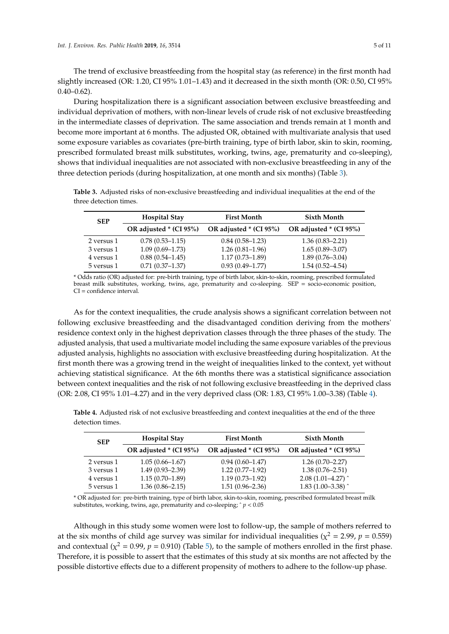The trend of exclusive breastfeeding from the hospital stay (as reference) in the first month had slightly increased (OR: 1.20, CI 95% 1.01–1.43) and it decreased in the sixth month (OR: 0.50, CI 95%  $0.40 - 0.62$ ).

During hospitalization there is a significant association between exclusive breastfeeding and individual deprivation of mothers, with non-linear levels of crude risk of not exclusive breastfeeding in the intermediate classes of deprivation. The same association and trends remain at 1 month and become more important at 6 months. The adjusted OR, obtained with multivariate analysis that used some exposure variables as covariates (pre-birth training, type of birth labor, skin to skin, rooming, prescribed formulated breast milk substitutes, working, twins, age, prematurity and co-sleeping), shows that individual inequalities are not associated with non-exclusive breastfeeding in any of the three detection periods (during hospitalization, at one month and six months) (Table [3\)](#page-4-0).

<span id="page-4-0"></span>**Table 3.** Adjusted risks of non-exclusive breastfeeding and individual inequalities at the end of the three detection times.

| <b>SEP</b> | <b>Hospital Stay</b>   | <b>First Month</b>      | <b>Sixth Month</b>     |  |
|------------|------------------------|-------------------------|------------------------|--|
|            | OR adjusted * (CI 95%) | OR adjusted $*(CI 95%)$ | OR adjusted * (CI 95%) |  |
| 2 versus 1 | $0.78(0.53 - 1.15)$    | $0.84(0.58-1.23)$       | $1.36(0.83 - 2.21)$    |  |
| 3 versus 1 | $1.09(0.69 - 1.73)$    | $1.26(0.81-1.96)$       | $1.65(0.89 - 3.07)$    |  |
| 4 versus 1 | $0.88(0.54 - 1.45)$    | $1.17(0.73 - 1.89)$     | $1.89(0.76 - 3.04)$    |  |
| 5 versus 1 | $0.71(0.37-1.37)$      | $0.93(0.49 - 1.77)$     | $1.54(0.52 - 4.54)$    |  |

\* Odds ratio (OR) adjusted for: pre-birth training, type of birth labor, skin-to-skin, rooming, prescribed formulated breast milk substitutes, working, twins, age, prematurity and co-sleeping. SEP = socio-economic position, CI = confidence interval.

As for the context inequalities, the crude analysis shows a significant correlation between not following exclusive breastfeeding and the disadvantaged condition deriving from the mothers' residence context only in the highest deprivation classes through the three phases of the study. The adjusted analysis, that used a multivariate model including the same exposure variables of the previous adjusted analysis, highlights no association with exclusive breastfeeding during hospitalization. At the first month there was a growing trend in the weight of inequalities linked to the context, yet without achieving statistical significance. At the 6th months there was a statistical significance association between context inequalities and the risk of not following exclusive breastfeeding in the deprived class (OR: 2.08, CI 95% 1.01–4.27) and in the very deprived class (OR: 1.83, CI 95% 1.00–3.38) (Table [4\)](#page-4-1).

<span id="page-4-1"></span>**Table 4.** Adjusted risk of not exclusive breastfeeding and context inequalities at the end of the three detection times.

| <b>SEP</b> | <b>Hospital Stay</b>   | <b>First Month</b>      | <b>Sixth Month</b>     |  |
|------------|------------------------|-------------------------|------------------------|--|
|            | OR adjusted * (CI 95%) | OR adjusted $*(CI 95%)$ | OR adjusted * (CI 95%) |  |
| 2 versus 1 | $1.05(0.66 - 1.67)$    | $0.94(0.60 - 1.47)$     | $1.26(0.70-2.27)$      |  |
| 3 versus 1 | $1.49(0.93 - 2.39)$    | $1.22(0.77-1.92)$       | $1.38(0.76 - 2.51)$    |  |
| 4 versus 1 | $1.15(0.70-1.89)$      | $1.19(0.73 - 1.92)$     | $2.08(1.01-4.27)$      |  |
| 5 versus 1 | $1.36(0.86 - 2.15)$    | $1.51(0.96 - 2.36)$     | 1.83 $(1.00-3.38)$     |  |

\* OR adjusted for: pre-birth training, type of birth labor, skin-to-skin, rooming, prescribed formulated breast milk substitutes, working, twins, age, prematurity and co-sleeping; ˆ *p* < 0.05

Although in this study some women were lost to follow-up, the sample of mothers referred to at the six months of child age survey was similar for individual inequalities ( $\chi^2$  = 2.99,  $p$  = 0.559) and contextual ( $\chi^2$  = 0.99, *p* = 0.910) (Table [5\)](#page-5-0), to the sample of mothers enrolled in the first phase. Therefore, it is possible to assert that the estimates of this study at six months are not affected by the possible distortive effects due to a different propensity of mothers to adhere to the follow-up phase.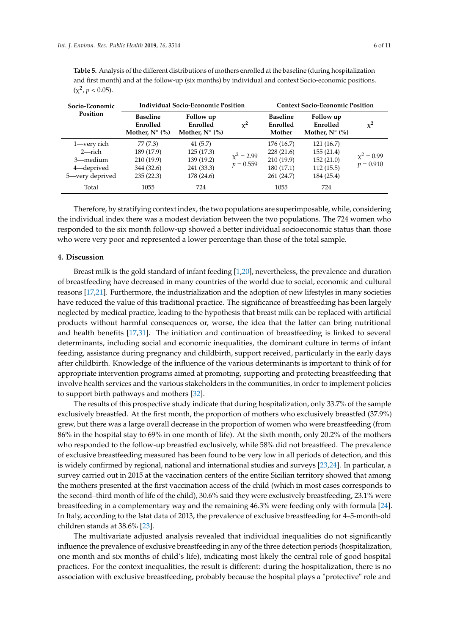<span id="page-5-0"></span>

| Socio-Economic                                                                                                                | <b>Individual Socio-Economic Position</b> | <b>Context Socio-Economic Position</b> |  |  |  |
|-------------------------------------------------------------------------------------------------------------------------------|-------------------------------------------|----------------------------------------|--|--|--|
| and first month) and at the follow-up (six months) by individual and context Socio-economic positions.<br>$(x^2, p < 0.05)$ . |                                           |                                        |  |  |  |

**Table 5.** Analysis of the different distributions of mothers enrolled at the baseline (during hospitalization

| Socio-Economic                                                     | Individual Socio-Economic Position                              |                                                                 |                                | <b>Context Socio-Economic Position</b>                           |                                                                |                                |
|--------------------------------------------------------------------|-----------------------------------------------------------------|-----------------------------------------------------------------|--------------------------------|------------------------------------------------------------------|----------------------------------------------------------------|--------------------------------|
| Position                                                           | <b>Baseline</b><br>Enrolled<br>Mother, $N^{\circ}$ (%)          | Follow up<br>Enrolled<br>Mother, $N^{\circ}$ (%)                | $x^2$                          | <b>Baseline</b><br>Enrolled<br>Mother                            | Follow up<br>Enrolled<br>Mother, $N^{\circ}$ (%)               | $x^2$                          |
| 1-very rich<br>2—rich<br>3—medium<br>4-deprived<br>5—very deprived | 77 (7.3)<br>189 (17.9)<br>210 (19.9)<br>344 (32.6)<br>235(22.3) | 41 (5.7)<br>125(17.3)<br>139 (19.2)<br>241 (33.3)<br>178 (24.6) | $\chi^2 = 2.99$<br>$p = 0.559$ | 176 (16.7)<br>228(21.6)<br>210(19.9)<br>180 (17.1)<br>261 (24.7) | 121(16.7)<br>155(21.4)<br>152(21.0)<br>112(15.5)<br>184 (25.4) | $\chi^2 = 0.99$<br>$p = 0.910$ |
| Total                                                              | 1055                                                            | 724                                                             |                                | 1055                                                             | 724                                                            |                                |

Therefore, by stratifying context index, the two populations are superimposable, while, considering the individual index there was a modest deviation between the two populations. The 724 women who responded to the six month follow-up showed a better individual socioeconomic status than those who were very poor and represented a lower percentage than those of the total sample.

#### **4. Discussion**

Breast milk is the gold standard of infant feeding [\[1](#page-8-0)[,20\]](#page-9-0), nevertheless, the prevalence and duration of breastfeeding have decreased in many countries of the world due to social, economic and cultural reasons [\[17,](#page-8-13)[21\]](#page-9-1). Furthermore, the industrialization and the adoption of new lifestyles in many societies have reduced the value of this traditional practice. The significance of breastfeeding has been largely neglected by medical practice, leading to the hypothesis that breast milk can be replaced with artificial products without harmful consequences or, worse, the idea that the latter can bring nutritional and health benefits [\[17](#page-8-13)[,31\]](#page-9-10). The initiation and continuation of breastfeeding is linked to several determinants, including social and economic inequalities, the dominant culture in terms of infant feeding, assistance during pregnancy and childbirth, support received, particularly in the early days after childbirth. Knowledge of the influence of the various determinants is important to think of for appropriate intervention programs aimed at promoting, supporting and protecting breastfeeding that involve health services and the various stakeholders in the communities, in order to implement policies to support birth pathways and mothers [\[32\]](#page-9-11).

The results of this prospective study indicate that during hospitalization, only 33.7% of the sample exclusively breastfed. At the first month, the proportion of mothers who exclusively breastfed (37.9%) grew, but there was a large overall decrease in the proportion of women who were breastfeeding (from 86% in the hospital stay to 69% in one month of life). At the sixth month, only 20.2% of the mothers who responded to the follow-up breastfed exclusively, while 58% did not breastfeed. The prevalence of exclusive breastfeeding measured has been found to be very low in all periods of detection, and this is widely confirmed by regional, national and international studies and surveys [\[23](#page-9-3)[,24\]](#page-9-4). In particular, a survey carried out in 2015 at the vaccination centers of the entire Sicilian territory showed that among the mothers presented at the first vaccination access of the child (which in most cases corresponds to the second–third month of life of the child), 30.6% said they were exclusively breastfeeding, 23.1% were breastfeeding in a complementary way and the remaining 46.3% were feeding only with formula [\[24\]](#page-9-4). In Italy, according to the Istat data of 2013, the prevalence of exclusive breastfeeding for 4–5-month-old children stands at 38.6% [\[23\]](#page-9-3).

The multivariate adjusted analysis revealed that individual inequalities do not significantly influence the prevalence of exclusive breastfeeding in any of the three detection periods (hospitalization, one month and six months of child's life), indicating most likely the central role of good hospital practices. For the context inequalities, the result is different: during the hospitalization, there is no association with exclusive breastfeeding, probably because the hospital plays a "protective" role and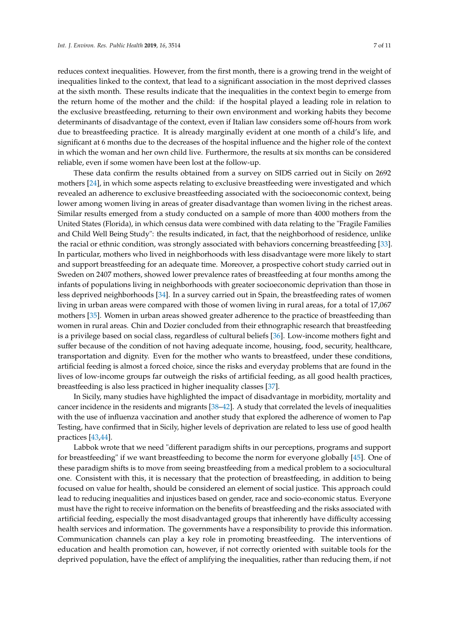reduces context inequalities. However, from the first month, there is a growing trend in the weight of inequalities linked to the context, that lead to a significant association in the most deprived classes at the sixth month. These results indicate that the inequalities in the context begin to emerge from the return home of the mother and the child: if the hospital played a leading role in relation to the exclusive breastfeeding, returning to their own environment and working habits they become determinants of disadvantage of the context, even if Italian law considers some off-hours from work due to breastfeeding practice. It is already marginally evident at one month of a child's life, and significant at 6 months due to the decreases of the hospital influence and the higher role of the context in which the woman and her own child live. Furthermore, the results at six months can be considered reliable, even if some women have been lost at the follow-up.

These data confirm the results obtained from a survey on SIDS carried out in Sicily on 2692 mothers [\[24\]](#page-9-4), in which some aspects relating to exclusive breastfeeding were investigated and which revealed an adherence to exclusive breastfeeding associated with the socioeconomic context, being lower among women living in areas of greater disadvantage than women living in the richest areas. Similar results emerged from a study conducted on a sample of more than 4000 mothers from the United States (Florida), in which census data were combined with data relating to the "Fragile Families and Child Well Being Study": the results indicated, in fact, that the neighborhood of residence, unlike the racial or ethnic condition, was strongly associated with behaviors concerning breastfeeding [\[33\]](#page-9-12). In particular, mothers who lived in neighborhoods with less disadvantage were more likely to start and support breastfeeding for an adequate time. Moreover, a prospective cohort study carried out in Sweden on 2407 mothers, showed lower prevalence rates of breastfeeding at four months among the infants of populations living in neighborhoods with greater socioeconomic deprivation than those in less deprived neighborhoods [\[34\]](#page-9-13). In a survey carried out in Spain, the breastfeeding rates of women living in urban areas were compared with those of women living in rural areas, for a total of 17,067 mothers [\[35\]](#page-9-14). Women in urban areas showed greater adherence to the practice of breastfeeding than women in rural areas. Chin and Dozier concluded from their ethnographic research that breastfeeding is a privilege based on social class, regardless of cultural beliefs [\[36\]](#page-10-0). Low-income mothers fight and suffer because of the condition of not having adequate income, housing, food, security, healthcare, transportation and dignity. Even for the mother who wants to breastfeed, under these conditions, artificial feeding is almost a forced choice, since the risks and everyday problems that are found in the lives of low-income groups far outweigh the risks of artificial feeding, as all good health practices, breastfeeding is also less practiced in higher inequality classes [\[37\]](#page-10-1).

In Sicily, many studies have highlighted the impact of disadvantage in morbidity, mortality and cancer incidence in the residents and migrants [\[38](#page-10-2)[–42\]](#page-10-3). A study that correlated the levels of inequalities with the use of influenza vaccination and another study that explored the adherence of women to Pap Testing, have confirmed that in Sicily, higher levels of deprivation are related to less use of good health practices [\[43](#page-10-4)[,44\]](#page-10-5).

Labbok wrote that we need "different paradigm shifts in our perceptions, programs and support for breastfeeding" if we want breastfeeding to become the norm for everyone globally [\[45\]](#page-10-6). One of these paradigm shifts is to move from seeing breastfeeding from a medical problem to a sociocultural one. Consistent with this, it is necessary that the protection of breastfeeding, in addition to being focused on value for health, should be considered an element of social justice. This approach could lead to reducing inequalities and injustices based on gender, race and socio-economic status. Everyone must have the right to receive information on the benefits of breastfeeding and the risks associated with artificial feeding, especially the most disadvantaged groups that inherently have difficulty accessing health services and information. The governments have a responsibility to provide this information. Communication channels can play a key role in promoting breastfeeding. The interventions of education and health promotion can, however, if not correctly oriented with suitable tools for the deprived population, have the effect of amplifying the inequalities, rather than reducing them, if not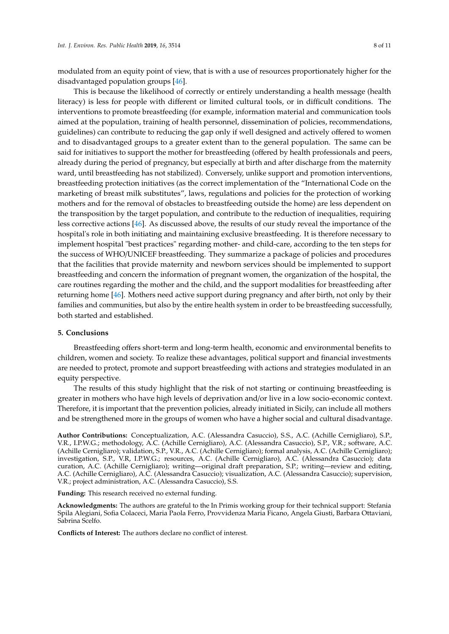modulated from an equity point of view, that is with a use of resources proportionately higher for the disadvantaged population groups [\[46\]](#page-10-7).

This is because the likelihood of correctly or entirely understanding a health message (health literacy) is less for people with different or limited cultural tools, or in difficult conditions. The interventions to promote breastfeeding (for example, information material and communication tools aimed at the population, training of health personnel, dissemination of policies, recommendations, guidelines) can contribute to reducing the gap only if well designed and actively offered to women and to disadvantaged groups to a greater extent than to the general population. The same can be said for initiatives to support the mother for breastfeeding (offered by health professionals and peers, already during the period of pregnancy, but especially at birth and after discharge from the maternity ward, until breastfeeding has not stabilized). Conversely, unlike support and promotion interventions, breastfeeding protection initiatives (as the correct implementation of the "International Code on the marketing of breast milk substitutes", laws, regulations and policies for the protection of working mothers and for the removal of obstacles to breastfeeding outside the home) are less dependent on the transposition by the target population, and contribute to the reduction of inequalities, requiring less corrective actions [\[46\]](#page-10-7). As discussed above, the results of our study reveal the importance of the hospital's role in both initiating and maintaining exclusive breastfeeding. It is therefore necessary to implement hospital "best practices" regarding mother- and child-care, according to the ten steps for the success of WHO/UNICEF breastfeeding. They summarize a package of policies and procedures that the facilities that provide maternity and newborn services should be implemented to support breastfeeding and concern the information of pregnant women, the organization of the hospital, the care routines regarding the mother and the child, and the support modalities for breastfeeding after returning home [\[46\]](#page-10-7). Mothers need active support during pregnancy and after birth, not only by their families and communities, but also by the entire health system in order to be breastfeeding successfully, both started and established.

## **5. Conclusions**

Breastfeeding offers short-term and long-term health, economic and environmental benefits to children, women and society. To realize these advantages, political support and financial investments are needed to protect, promote and support breastfeeding with actions and strategies modulated in an equity perspective.

The results of this study highlight that the risk of not starting or continuing breastfeeding is greater in mothers who have high levels of deprivation and/or live in a low socio-economic context. Therefore, it is important that the prevention policies, already initiated in Sicily, can include all mothers and be strengthened more in the groups of women who have a higher social and cultural disadvantage.

**Author Contributions:** Conceptualization, A.C. (Alessandra Casuccio), S.S., A.C. (Achille Cernigliaro), S.P., V.R., I.P.W.G.; methodology, A.C. (Achille Cernigliaro), A.C. (Alessandra Casuccio), S.P., V.R.; software, A.C. (Achille Cernigliaro); validation, S.P., V.R., A.C. (Achille Cernigliaro); formal analysis, A.C. (Achille Cernigliaro); investigation, S.P., V.R, I.P.W.G.; resources, A.C. (Achille Cernigliaro), A.C. (Alessandra Casuccio); data curation, A.C. (Achille Cernigliaro); writing—original draft preparation, S.P.; writing—review and editing, A.C. (Achille Cernigliaro), A.C. (Alessandra Casuccio); visualization, A.C. (Alessandra Casuccio); supervision, V.R.; project administration, A.C. (Alessandra Casuccio), S.S.

**Funding:** This research received no external funding.

**Acknowledgments:** The authors are grateful to the In Primis working group for their technical support: Stefania Spila Alegiani, Sofia Colaceci, Maria Paola Ferro, Provvidenza Maria Ficano, Angela Giusti, Barbara Ottaviani, Sabrina Scelfo.

**Conflicts of Interest:** The authors declare no conflict of interest.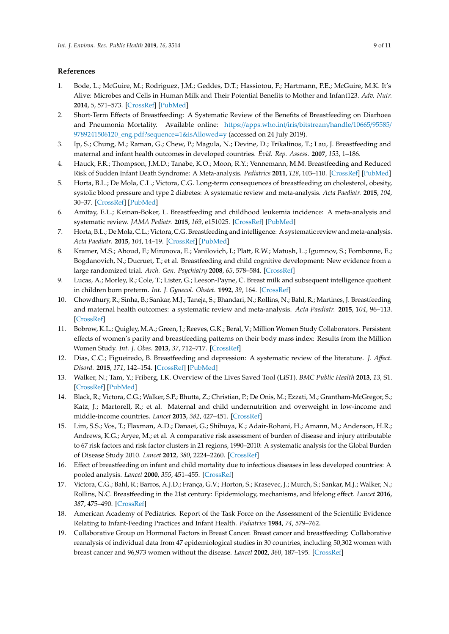# **References**

- <span id="page-8-0"></span>1. Bode, L.; McGuire, M.; Rodriguez, J.M.; Geddes, D.T.; Hassiotou, F.; Hartmann, P.E.; McGuire, M.K. It's Alive: Microbes and Cells in Human Milk and Their Potential Benefits to Mother and Infant123. *Adv. Nutr.* **2014**, *5*, 571–573. [\[CrossRef\]](http://dx.doi.org/10.3945/an.114.006643) [\[PubMed\]](http://www.ncbi.nlm.nih.gov/pubmed/25469400)
- <span id="page-8-1"></span>2. Short-Term Effects of Breastfeeding: A Systematic Review of the Benefits of Breastfeeding on Diarhoea and Pneumonia Mortality. Available online: https://[apps.who.int](https://apps.who.int/iris/bitstream/handle/10665/95585/9789241506120_eng.pdf?sequence=1&isAllowed=y)/iris/bitstream/handle/10665/95585/ [9789241506120\\_eng.pdf?sequence](https://apps.who.int/iris/bitstream/handle/10665/95585/9789241506120_eng.pdf?sequence=1&isAllowed=y)=1&isAllowed=y (accessed on 24 July 2019).
- <span id="page-8-3"></span>3. Ip, S.; Chung, M.; Raman, G.; Chew, P.; Magula, N.; Devine, D.; Trikalinos, T.; Lau, J. Breastfeeding and maternal and infant health outcomes in developed countries. *Évid. Rep. Assess.* **2007**, *153*, 1–186.
- <span id="page-8-2"></span>4. Hauck, F.R.; Thompson, J.M.D.; Tanabe, K.O.; Moon, R.Y.; Vennemann, M.M. Breastfeeding and Reduced Risk of Sudden Infant Death Syndrome: A Meta-analysis. *Pediatrics* **2011**, *128*, 103–110. [\[CrossRef\]](http://dx.doi.org/10.1542/peds.2010-3000) [\[PubMed\]](http://www.ncbi.nlm.nih.gov/pubmed/21669892)
- <span id="page-8-4"></span>5. Horta, B.L.; De Mola, C.L.; Victora, C.G. Long-term consequences of breastfeeding on cholesterol, obesity, systolic blood pressure and type 2 diabetes: A systematic review and meta-analysis. *Acta Paediatr.* **2015**, *104*, 30–37. [\[CrossRef\]](http://dx.doi.org/10.1111/apa.13133) [\[PubMed\]](http://www.ncbi.nlm.nih.gov/pubmed/26192560)
- <span id="page-8-6"></span>6. Amitay, E.L.; Keinan-Boker, L. Breastfeeding and childhood leukemia incidence: A meta-analysis and systematic review. *JAMA Pediatr.* **2015**, *169*, e151025. [\[CrossRef\]](http://dx.doi.org/10.1001/jamapediatrics.2015.1025) [\[PubMed\]](http://www.ncbi.nlm.nih.gov/pubmed/26030516)
- 7. Horta, B.L.; De Mola, C.L.; Victora, C.G. Breastfeeding and intelligence: A systematic review and meta-analysis. *Acta Paediatr.* **2015**, *104*, 14–19. [\[CrossRef\]](http://dx.doi.org/10.1111/apa.13139) [\[PubMed\]](http://www.ncbi.nlm.nih.gov/pubmed/26211556)
- 8. Kramer, M.S.; Aboud, F.; Mironova, E.; Vanilovich, I.; Platt, R.W.; Matush, L.; Igumnov, S.; Fombonne, E.; Bogdanovich, N.; Ducruet, T.; et al. Breastfeeding and child cognitive development: New evidence from a large randomized trial. *Arch. Gen. Psychiatry* **2008**, *65*, 578–584. [\[CrossRef\]](http://dx.doi.org/10.1001/archpsyc.65.5.578)
- <span id="page-8-5"></span>9. Lucas, A.; Morley, R.; Cole, T.; Lister, G.; Leeson-Payne, C. Breast milk and subsequent intelligence quotient in children born preterm. *Int. J. Gynecol. Obstet.* **1992**, *39*, 164. [\[CrossRef\]](http://dx.doi.org/10.1016/0020-7292(92)90963-J)
- <span id="page-8-7"></span>10. Chowdhury, R.; Sinha, B.; Sankar, M.J.; Taneja, S.; Bhandari, N.; Rollins, N.; Bahl, R.; Martines, J. Breastfeeding and maternal health outcomes: a systematic review and meta-analysis. *Acta Paediatr.* **2015**, *104*, 96–113. [\[CrossRef\]](http://dx.doi.org/10.1111/apa.13102)
- 11. Bobrow, K.L.; Quigley, M.A.; Green, J.; Reeves, G.K.; Beral, V.; Million Women Study Collaborators. Persistent effects of women's parity and breastfeeding patterns on their body mass index: Results from the Million Women Study. *Int. J. Obes.* **2013**, *37*, 712–717. [\[CrossRef\]](http://dx.doi.org/10.1038/ijo.2012.76)
- <span id="page-8-8"></span>12. Dias, C.C.; Figueiredo, B. Breastfeeding and depression: A systematic review of the literature. *J. A*ff*ect. Disord.* **2015**, *171*, 142–154. [\[CrossRef\]](http://dx.doi.org/10.1016/j.jad.2014.09.022) [\[PubMed\]](http://www.ncbi.nlm.nih.gov/pubmed/25305429)
- <span id="page-8-9"></span>13. Walker, N.; Tam, Y.; Friberg, I.K. Overview of the Lives Saved Tool (LiST). *BMC Public Health* **2013**, *13*, S1. [\[CrossRef\]](http://dx.doi.org/10.1186/1471-2458-13-S3-S1) [\[PubMed\]](http://www.ncbi.nlm.nih.gov/pubmed/24564438)
- <span id="page-8-10"></span>14. Black, R.; Victora, C.G.; Walker, S.P.; Bhutta, Z.; Christian, P.; De Onis, M.; Ezzati, M.; Grantham-McGregor, S.; Katz, J.; Martorell, R.; et al. Maternal and child undernutrition and overweight in low-income and middle-income countries. *Lancet* **2013**, *382*, 427–451. [\[CrossRef\]](http://dx.doi.org/10.1016/S0140-6736(13)60937-X)
- <span id="page-8-11"></span>15. Lim, S.S.; Vos, T.; Flaxman, A.D.; Danaei, G.; Shibuya, K.; Adair-Rohani, H.; Amann, M.; Anderson, H.R.; Andrews, K.G.; Aryee, M.; et al. A comparative risk assessment of burden of disease and injury attributable to 67 risk factors and risk factor clusters in 21 regions, 1990–2010: A systematic analysis for the Global Burden of Disease Study 2010. *Lancet* **2012**, *380*, 2224–2260. [\[CrossRef\]](http://dx.doi.org/10.1016/S0140-6736(12)61766-8)
- <span id="page-8-12"></span>16. Effect of breastfeeding on infant and child mortality due to infectious diseases in less developed countries: A pooled analysis. *Lancet* **2000**, *355*, 451–455. [\[CrossRef\]](http://dx.doi.org/10.1016/S0140-6736(99)06260-1)
- <span id="page-8-13"></span>17. Victora, C.G.; Bahl, R.; Barros, A.J.D.; França, G.V.; Horton, S.; Krasevec, J.; Murch, S.; Sankar, M.J.; Walker, N.; Rollins, N.C. Breastfeeding in the 21st century: Epidemiology, mechanisms, and lifelong effect. *Lancet* **2016**, *387*, 475–490. [\[CrossRef\]](http://dx.doi.org/10.1016/S0140-6736(15)01024-7)
- <span id="page-8-14"></span>18. American Academy of Pediatrics. Report of the Task Force on the Assessment of the Scientific Evidence Relating to Infant-Feeding Practices and Infant Health. *Pediatrics* **1984**, *74*, 579–762.
- <span id="page-8-15"></span>19. Collaborative Group on Hormonal Factors in Breast Cancer. Breast cancer and breastfeeding: Collaborative reanalysis of individual data from 47 epidemiological studies in 30 countries, including 50,302 women with breast cancer and 96,973 women without the disease. *Lancet* **2002**, *360*, 187–195. [\[CrossRef\]](http://dx.doi.org/10.1016/S0140-6736(02)09454-0)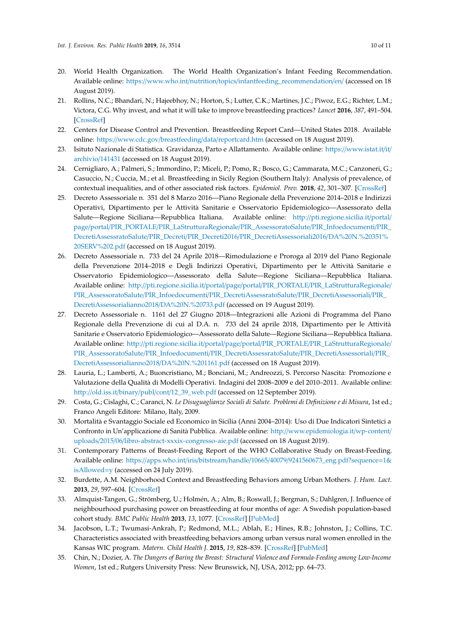- <span id="page-9-0"></span>20. World Health Organization. The World Health Organization's Infant Feeding Recommendation. Available online: https://www.who.int/nutrition/topics/[infantfeeding\\_recommendation](https://www.who.int/nutrition/topics/infantfeeding_recommendation/en/)/en/ (accessed on 18 August 2019).
- <span id="page-9-1"></span>21. Rollins, N.C.; Bhandari, N.; Hajeebhoy, N.; Horton, S.; Lutter, C.K.; Martines, J.C.; Piwoz, E.G.; Richter, L.M.; Victora, C.G. Why invest, and what it will take to improve breastfeeding practices? *Lancet* **2016**, *387*, 491–504. [\[CrossRef\]](http://dx.doi.org/10.1016/S0140-6736(15)01044-2)
- <span id="page-9-2"></span>22. Centers for Disease Control and Prevention. Breastfeeding Report Card—United States 2018. Available online: https://www.cdc.gov/breastfeeding/data/[reportcard.htm](https://www.cdc.gov/breastfeeding/data/reportcard.htm) (accessed on 18 August 2019).
- <span id="page-9-3"></span>23. Isituto Nazionale di Statistica. Gravidanza, Parto e Allattamento. Available online: https://[www.istat.it](https://www.istat.it/it/archivio/141431)/it/ [archivio](https://www.istat.it/it/archivio/141431)/141431 (accessed on 18 August 2019).
- <span id="page-9-4"></span>24. Cernigliaro, A.; Palmeri, S.; Immordino, P.; Miceli, P.; Pomo, R.; Bosco, G.; Cammarata, M.C.; Canzoneri, G.; Casuccio, N.; Cuccia, M.; et al. Breastfeeding in Sicily Region (Southern Italy): Analysis of prevalence, of contextual inequalities, and of other associated risk factors. *Epidemiol. Prev.* **2018**, *42*, 301–307. [\[CrossRef\]](http://dx.doi.org/10.19191/EP18.5-6.P301.098)
- <span id="page-9-5"></span>25. Decreto Assessoriale n. 351 del 8 Marzo 2016—Piano Regionale della Prevenzione 2014–2018 e Indirizzi Operativi, Dipartimento per le Attività Sanitarie e Osservatorio Epidemiologico—Assessorato della Salute—Regione Siciliana—Repubblica Italiana. Available online: http://[pti.regione.sicilia.it](http://pti.regione.sicilia.it/portal/page/portal/PIR_PORTALE/PIR_LaStrutturaRegionale/PIR_AssessoratoSalute/PIR_Infoedocumenti/PIR_DecretiAssessratoSalute/PIR_Decreti/PIR_Decreti2016/PIR_DecretiAssessoriali2016/DA%20N.%20351%20SERV%202.pdf)/portal/ page/portal/PIR\_PORTALE/[PIR\\_LaStrutturaRegionale](http://pti.regione.sicilia.it/portal/page/portal/PIR_PORTALE/PIR_LaStrutturaRegionale/PIR_AssessoratoSalute/PIR_Infoedocumenti/PIR_DecretiAssessratoSalute/PIR_Decreti/PIR_Decreti2016/PIR_DecretiAssessoriali2016/DA%20N.%20351%20SERV%202.pdf)/PIR\_AssessoratoSalute/PIR\_Infoedocumenti/PIR\_ DecretiAssessratoSalute/PIR\_Decreti/PIR\_Decreti2016/[PIR\\_DecretiAssessoriali2016](http://pti.regione.sicilia.it/portal/page/portal/PIR_PORTALE/PIR_LaStrutturaRegionale/PIR_AssessoratoSalute/PIR_Infoedocumenti/PIR_DecretiAssessratoSalute/PIR_Decreti/PIR_Decreti2016/PIR_DecretiAssessoriali2016/DA%20N.%20351%20SERV%202.pdf)/DA%20N.%20351% [20SERV%202.pdf](http://pti.regione.sicilia.it/portal/page/portal/PIR_PORTALE/PIR_LaStrutturaRegionale/PIR_AssessoratoSalute/PIR_Infoedocumenti/PIR_DecretiAssessratoSalute/PIR_Decreti/PIR_Decreti2016/PIR_DecretiAssessoriali2016/DA%20N.%20351%20SERV%202.pdf) (accessed on 18 August 2019).
- 26. Decreto Assessoriale n. 733 del 24 Aprile 2018—Rimodulazione e Proroga al 2019 del Piano Regionale della Prevenzione 2014–2018 e Degli Indirizzi Operativi, Dipartimento per le Attività Sanitarie e Osservatorio Epidemiologico—Assessorato della Salute—Regione Siciliana—Repubblica Italiana. Available online: http://pti.regione.sicilia.it/portal/page/portal/PIR\_PORTALE/[PIR\\_LaStrutturaRegionale](http://pti.regione.sicilia.it/portal/page/portal/PIR_PORTALE/PIR_LaStrutturaRegionale/PIR_AssessoratoSalute/PIR_Infoedocumenti/PIR_DecretiAssessratoSalute/PIR_DecretiAssessoriali/PIR_DecretiAssessorialianno2018/DA%20N.%20733.pdf)/ PIR\_AssessoratoSalute/PIR\_Infoedocumenti/[PIR\\_DecretiAssessratoSalute](http://pti.regione.sicilia.it/portal/page/portal/PIR_PORTALE/PIR_LaStrutturaRegionale/PIR_AssessoratoSalute/PIR_Infoedocumenti/PIR_DecretiAssessratoSalute/PIR_DecretiAssessoriali/PIR_DecretiAssessorialianno2018/DA%20N.%20733.pdf)/PIR\_DecretiAssessoriali/PIR\_ [DecretiAssessorialianno2018](http://pti.regione.sicilia.it/portal/page/portal/PIR_PORTALE/PIR_LaStrutturaRegionale/PIR_AssessoratoSalute/PIR_Infoedocumenti/PIR_DecretiAssessratoSalute/PIR_DecretiAssessoriali/PIR_DecretiAssessorialianno2018/DA%20N.%20733.pdf)/DA%20N.%20733.pdf (accessed on 19 August 2019).
- <span id="page-9-6"></span>27. Decreto Assessoriale n. 1161 del 27 Giugno 2018—Integrazioni alle Azioni di Programma del Piano Regionale della Prevenzione di cui al D.A. n. 733 del 24 aprile 2018, Dipartimento per le Attività Sanitarie e Osservatorio Epidemiologico—Assessorato della Salute—Regione Siciliana—Repubblica Italiana. Available online: http://pti.regione.sicilia.it/portal/page/portal/PIR\_PORTALE/[PIR\\_LaStrutturaRegionale](http://pti.regione.sicilia.it/portal/page/portal/PIR_PORTALE/PIR_LaStrutturaRegionale/PIR_AssessoratoSalute/PIR_Infoedocumenti/PIR_DecretiAssessratoSalute/PIR_DecretiAssessoriali/PIR_DecretiAssessorialianno2018/DA%20N.%201161.pdf)/ PIR\_AssessoratoSalute/PIR\_Infoedocumenti/[PIR\\_DecretiAssessratoSalute](http://pti.regione.sicilia.it/portal/page/portal/PIR_PORTALE/PIR_LaStrutturaRegionale/PIR_AssessoratoSalute/PIR_Infoedocumenti/PIR_DecretiAssessratoSalute/PIR_DecretiAssessoriali/PIR_DecretiAssessorialianno2018/DA%20N.%201161.pdf)/PIR\_DecretiAssessoriali/PIR\_ [DecretiAssessorialianno2018](http://pti.regione.sicilia.it/portal/page/portal/PIR_PORTALE/PIR_LaStrutturaRegionale/PIR_AssessoratoSalute/PIR_Infoedocumenti/PIR_DecretiAssessratoSalute/PIR_DecretiAssessoriali/PIR_DecretiAssessorialianno2018/DA%20N.%201161.pdf)/DA%20N.%201161.pdf (accessed on 18 August 2019).
- <span id="page-9-7"></span>28. Lauria, L.; Lamberti, A.; Buoncristiano, M.; Bonciani, M.; Andreozzi, S. Percorso Nascita: Promozione e Valutazione della Qualità di Modelli Operativi. Indagini del 2008–2009 e del 2010–2011. Available online: http://old.iss.it/binary/publ/cont/[12\\_39\\_web.pdf](http://old.iss.it/binary/publ/cont/12_39_web.pdf) (accessed on 12 September 2019).
- <span id="page-9-8"></span>29. Costa, G.; Cislaghi, C.; Caranci, N. *Le Disuguaglianze Sociali di Salute. Problemi di Definizione e di Misura*, 1st ed.; Franco Angeli Editore: Milano, Italy, 2009.
- <span id="page-9-9"></span>30. Mortalità e Svantaggio Sociale ed Economico in Sicilia (Anni 2004–2014): Uso di Due Indicatori Sintetici a Confronto in Un'applicazione di Sanità Pubblica. Available online: http://[www.epidemiologia.it](http://www.epidemiologia.it/wp-content/uploads/2015/06/libro-abstract-xxxix-congresso-aie.pdf)/wp-content/ uploads/2015/06/[libro-abstract-xxxix-congresso-aie.pdf](http://www.epidemiologia.it/wp-content/uploads/2015/06/libro-abstract-xxxix-congresso-aie.pdf) (accessed on 18 August 2019).
- <span id="page-9-10"></span>31. Contemporary Patterns of Breast-Feeding Report of the WHO Collaborative Study on Breast-Feeding. Available online: https://apps.who.int/iris/bitstream/handle/10665/40079/[9241560673\\_eng.pdf?sequence](https://apps.who.int/iris/bitstream/handle/10665/40079/9241560673_eng.pdf?sequence=1&isAllowed=y)=1& [isAllowed](https://apps.who.int/iris/bitstream/handle/10665/40079/9241560673_eng.pdf?sequence=1&isAllowed=y)=y (accessed on 24 July 2019).
- <span id="page-9-11"></span>32. Burdette, A.M. Neighborhood Context and Breastfeeding Behaviors among Urban Mothers. *J. Hum. Lact.* **2013**, *29*, 597–604. [\[CrossRef\]](http://dx.doi.org/10.1177/0890334413495110)
- <span id="page-9-12"></span>33. Almquist-Tangen, G.; Strömberg, U.; Holmén, A.; Alm, B.; Roswall, J.; Bergman, S.; Dahlgren, J. Influence of neighbourhood purchasing power on breastfeeding at four months of age: A Swedish population-based cohort study. *BMC Public Health* **2013**, *13*, 1077. [\[CrossRef\]](http://dx.doi.org/10.1186/1471-2458-13-1077) [\[PubMed\]](http://www.ncbi.nlm.nih.gov/pubmed/24237634)
- <span id="page-9-13"></span>34. Jacobson, L.T.; Twumasi-Ankrah, P.; Redmond, M.L.; Ablah, E.; Hines, R.B.; Johnston, J.; Collins, T.C. Characteristics associated with breastfeeding behaviors among urban versus rural women enrolled in the Kansas WIC program. *Matern. Child Health J.* **2015**, *19*, 828–839. [\[CrossRef\]](http://dx.doi.org/10.1007/s10995-014-1580-2) [\[PubMed\]](http://www.ncbi.nlm.nih.gov/pubmed/25047788)
- <span id="page-9-14"></span>35. Chin, N.; Dozier, A. *The Dangers of Baring the Breast: Structural Violence and Formula-Feeding among Low-Income Women*, 1st ed.; Rutgers University Press: New Brunswick, NJ, USA, 2012; pp. 64–73.